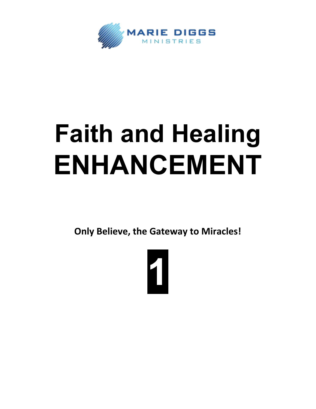

## **Faith and Healing ENHANCEMENT**

**Only Believe, the Gateway to Miracles!**